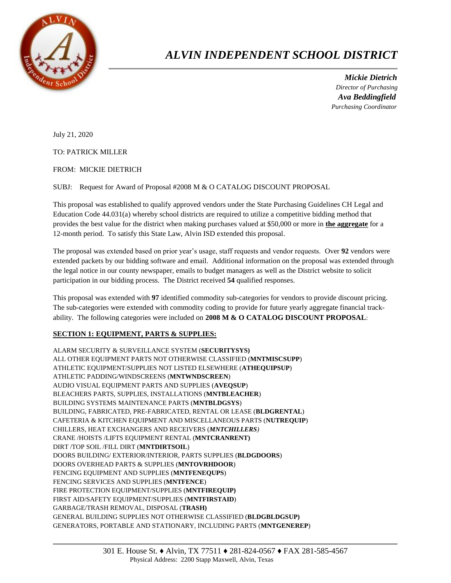

## *ALVIN INDEPENDENT SCHOOL DISTRICT*

 *Mickie Dietrich Director of Purchasing Ava Beddingfield Purchasing Coordinator*

July 21, 2020

TO: PATRICK MILLER

FROM: MICKIE DIETRICH

SUBJ: Request for Award of Proposal #2008 M & O CATALOG DISCOUNT PROPOSAL

This proposal was established to qualify approved vendors under the State Purchasing Guidelines CH Legal and Education Code 44.031(a) whereby school districts are required to utilize a competitive bidding method that provides the best value for the district when making purchases valued at \$50,000 or more in **the aggregate** for a 12-month period. To satisfy this State Law, Alvin ISD extended this proposal.

The proposal was extended based on prior year's usage, staff requests and vendor requests. Over **92** vendors were extended packets by our bidding software and email. Additional information on the proposal was extended through the legal notice in our county newspaper, emails to budget managers as well as the District website to solicit participation in our bidding process. The District received **54** qualified responses.

This proposal was extended with **97** identified commodity sub-categories for vendors to provide discount pricing. The sub-categories were extended with commodity coding to provide for future yearly aggregate financial trackability. The following categories were included on **2008 M & O CATALOG DISCOUNT PROPOSAL**:

## **SECTION 1: EQUIPMENT, PARTS & SUPPLIES:**

ALARM SECURITY & SURVEILLANCE SYSTEM (**SECURITYSYS)** ALL OTHER EQUIPMENT PARTS NOT OTHERWISE CLASSIFIED (**MNTMISCSUPP**) ATHLETIC EQUIPMENT/SUPPLIES NOT LISTED ELSEWHERE (**ATHEQUIPSUP**) ATHLETIC PADDING/WINDSCREENS (**MNTWNDSCREEN**) AUDIO VISUAL EQUIPMENT PARTS AND SUPPLIES (**AVEQSUP**) BLEACHERS PARTS, SUPPLIES, INSTALLATIONS (**MNTBLEACHER**) BUILDING SYSTEMS MAINTENANCE PARTS (**MNTBLDGSYS**) BUILDING, FABRICATED, PRE-FABRICATED, RENTAL OR LEASE (**BLDGRENTAL**) CAFETERIA & KITCHEN EQUIPMENT AND MISCELLANEOUS PARTS (**NUTREQUIP**) CHILLERS, HEAT EXCHANGERS AND RECEIVERS (*MNTCHILLERS)* CRANE /HOISTS /LIFTS EQUIPMENT RENTAL (**MNTCRANRENT)** DIRT /TOP SOIL /FILL DIRT (**MNTDIRTSOIL**) DOORS BUILDING/ EXTERIOR/INTERIOR, PARTS SUPPLIES (**BLDGDOORS**) DOORS OVERHEAD PARTS & SUPPLIES (**MNTOVRHDOOR**) FENCING EQUIPMENT AND SUPPLIES (**MNTFENEQUPS**) FENCING SERVICES AND SUPPLIES (**MNTFENCE**) FIRE PROTECTION EQUIPMENT/SUPPLIES (**MNTFIREQUIP)** FIRST AID/SAFETY EQUIPMENT/SUPPLIES (**MNTFIRSTAID**) GARBAGE/TRASH REMOVAL, DISPOSAL (**TRASH)** GENERAL BUILDING SUPPLIES NOT OTHERWISE CLASSIFIED (**BLDGBLDGSUP)** GENERATORS, PORTABLE AND STATIONARY, INCLUDING PARTS (**MNTGENEREP**)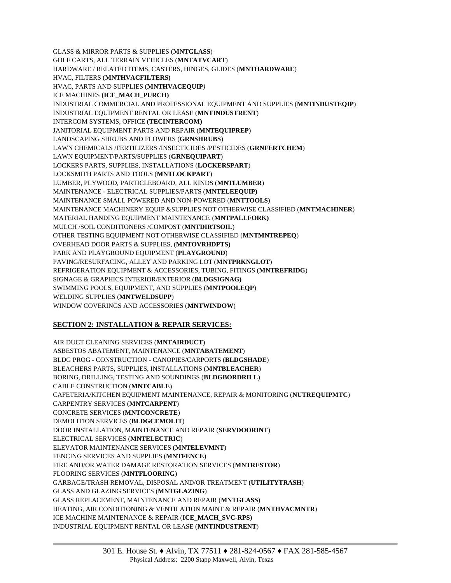GLASS & MIRROR PARTS & SUPPLIES (**MNTGLASS**) GOLF CARTS, ALL TERRAIN VEHICLES (**MNTATVCART**) HARDWARE / RELATED ITEMS, CASTERS, HINGES, GLIDES (**MNTHARDWARE**) HVAC, FILTERS (**MNTHVACFILTERS)** HVAC, PARTS AND SUPPLIES (**MNTHVACEQUIP***)* ICE MACHINES **(ICE\_MACH\_PURCH)** INDUSTRIAL COMMERCIAL AND PROFESSIONAL EQUIPMENT AND SUPPLIES (**MNTINDUSTEQIP**) INDUSTRIAL EQUIPMENT RENTAL OR LEASE (**MNTINDUSTRENT**) INTERCOM SYSTEMS, OFFICE (**TECINTERCOM)** JANITORIAL EQUIPMENT PARTS AND REPAIR (**MNTEQUIPREP**) LANDSCAPING SHRUBS AND FLOWERS (**GRNSHRUBS**) LAWN CHEMICALS /FERTILIZERS /INSECTICIDES /PESTICIDES (**GRNFERTCHEM**) LAWN EQUIPMENT/PARTS/SUPPLIES (**GRNEQUIPART**) LOCKERS PARTS, SUPPLIES, INSTALLATIONS (**LOCKERSPART**) LOCKSMITH PARTS AND TOOLS (**MNTLOCKPART**) LUMBER, PLYWOOD, PARTICLEBOARD, ALL KINDS (**MNTLUMBER**) MAINTENANCE - ELECTRICAL SUPPLIES/PARTS (**MNTELEEQUIP)** MAINTENANCE SMALL POWERED AND NON-POWERED (**MNTTOOLS**) MAINTENANCE MACHINERY EQUIP &SUPPLIES NOT OTHERWISE CLASSIFIED (**MNTMACHINER**) MATERIAL HANDING EQUIPMENT MAINTENANCE (**MNTPALLFORK)** MULCH /SOIL CONDITIONERS /COMPOST (**MNTDIRTSOIL**) OTHER TESTING EQUIPMENT NOT OTHERWISE CLASSIFIED (**MNTMNTREPEQ**) OVERHEAD DOOR PARTS & SUPPLIES, (**MNTOVRHDPTS)** PARK AND PLAYGROUND EQUIPMENT (**PLAYGROUND**) PAVING/RESURFACING, ALLEY AND PARKING LOT (**MNTPRKNGLOT**) REFRIGERATION EQUIPMENT & ACCESSORIES, TUBING, FITINGS (**MNTREFRIDG**) SIGNAGE & GRAPHICS INTERIOR/EXTERIOR (**BLDGSIGNAG)** SWIMMING POOLS, EQUIPMENT, AND SUPPLIES (**MNTPOOLEQP**) WELDING SUPPLIES (**MNTWELDSUPP**) WINDOW COVERINGS AND ACCESSORIES (**MNTWINDOW**)

## **SECTION 2: INSTALLATION & REPAIR SERVICES:**

AIR DUCT CLEANING SERVICES (**MNTAIRDUCT**) ASBESTOS ABATEMENT, MAINTENANCE (**MNTABATEMENT**) BLDG PROG - CONSTRUCTION - CANOPIES/CARPORTS (**BLDGSHADE**) BLEACHERS PARTS, SUPPLIES, INSTALLATIONS (**MNTBLEACHER**) BORING, DRILLING, TESTING AND SOUNDINGS (**BLDGBORDRILL**) CABLE CONSTRUCTION (**MNTCABLE**) CAFETERIA/KITCHEN EQUIPMENT MAINTENANCE, REPAIR & MONITORING (**NUTREQUIPMTC**) CARPENTRY SERVICES (**MNTCARPENT**) CONCRETE SERVICES (**MNTCONCRETE**) DEMOLITION SERVICES (**BLDGCEMOLIT**) DOOR INSTALLATION, MAINTENANCE AND REPAIR (**SERVDOORINT**) ELECTRICAL SERVICES (**MNTELECTRIC**) ELEVATOR MAINTENANCE SERVICES (**MNTELEVMNT**) FENCING SERVICES AND SUPPLIES (**MNTFENCE**) FIRE AND/OR WATER DAMAGE RESTORATION SERVICES (**MNTRESTOR**) FLOORING SERVICES (**MNTFLOORING**) GARBAGE/TRASH REMOVAL, DISPOSAL AND/OR TREATMENT **(UTILITYTRASH**) GLASS AND GLAZING SERVICES (**MNTGLAZING**) GLASS REPLACEMENT, MAINTENANCE AND REPAIR (**MNTGLASS**) HEATING, AIR CONDITIONING & VENTILATION MAINT & REPAIR (**MNTHVACMNTR**) ICE MACHINE MAINTENANCE & REPAIR (**ICE\_MACH\_SVC-RPS**) INDUSTRIAL EQUIPMENT RENTAL OR LEASE (**MNTINDUSTRENT**)